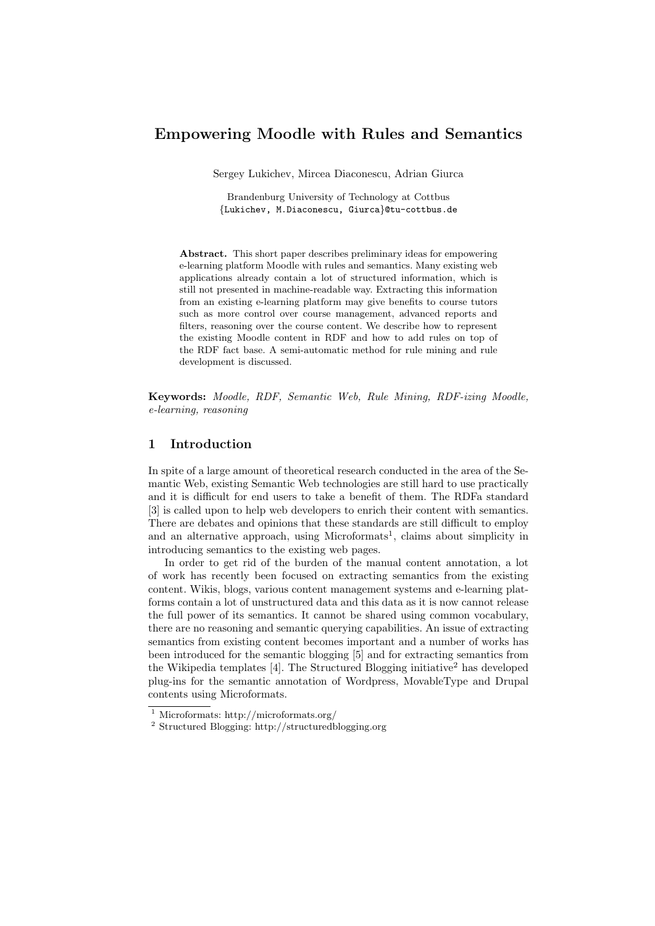# Empowering Moodle with Rules and Semantics

Sergey Lukichev, Mircea Diaconescu, Adrian Giurca

Brandenburg University of Technology at Cottbus {Lukichev, M.Diaconescu, Giurca}@tu-cottbus.de

Abstract. This short paper describes preliminary ideas for empowering e-learning platform Moodle with rules and semantics. Many existing web applications already contain a lot of structured information, which is still not presented in machine-readable way. Extracting this information from an existing e-learning platform may give benefits to course tutors such as more control over course management, advanced reports and filters, reasoning over the course content. We describe how to represent the existing Moodle content in RDF and how to add rules on top of the RDF fact base. A semi-automatic method for rule mining and rule development is discussed.

Keywords: Moodle, RDF, Semantic Web, Rule Mining, RDF-izing Moodle, e-learning, reasoning

#### 1 Introduction

In spite of a large amount of theoretical research conducted in the area of the Semantic Web, existing Semantic Web technologies are still hard to use practically and it is difficult for end users to take a benefit of them. The RDFa standard [3] is called upon to help web developers to enrich their content with semantics. There are debates and opinions that these standards are still difficult to employ and an alternative approach, using Microformats<sup>1</sup>, claims about simplicity in introducing semantics to the existing web pages.

In order to get rid of the burden of the manual content annotation, a lot of work has recently been focused on extracting semantics from the existing content. Wikis, blogs, various content management systems and e-learning platforms contain a lot of unstructured data and this data as it is now cannot release the full power of its semantics. It cannot be shared using common vocabulary, there are no reasoning and semantic querying capabilities. An issue of extracting semantics from existing content becomes important and a number of works has been introduced for the semantic blogging [5] and for extracting semantics from the Wikipedia templates  $[4]$ . The Structured Blogging initiative<sup>2</sup> has developed plug-ins for the semantic annotation of Wordpress, MovableType and Drupal contents using Microformats.

<sup>1</sup> Microformats: http://microformats.org/

<sup>2</sup> Structured Blogging: http://structuredblogging.org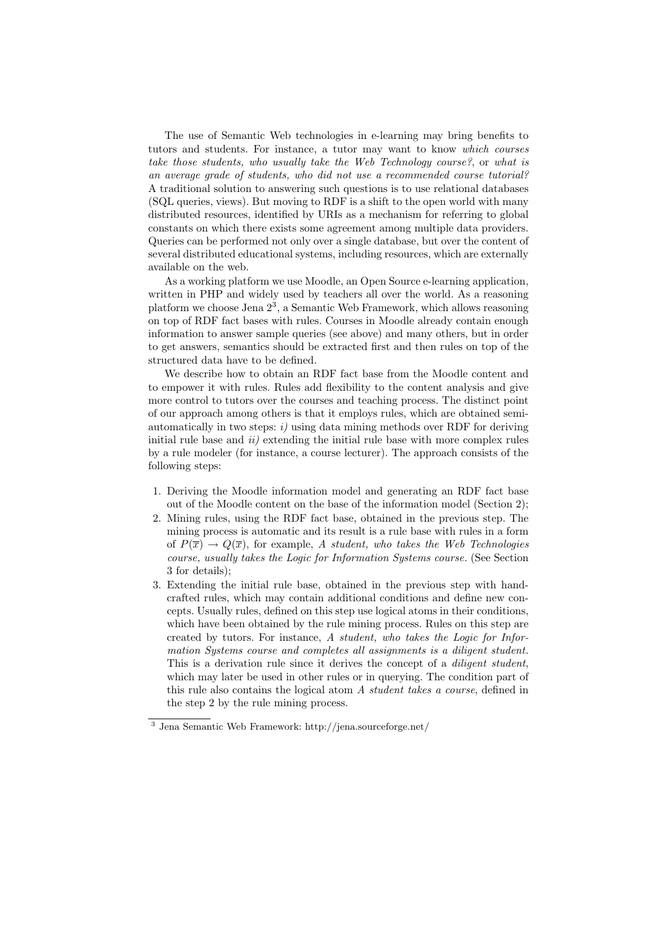The use of Semantic Web technologies in e-learning may bring benefits to tutors and students. For instance, a tutor may want to know which courses take those students, who usually take the Web Technology course?, or what is an average grade of students, who did not use a recommended course tutorial? A traditional solution to answering such questions is to use relational databases (SQL queries, views). But moving to RDF is a shift to the open world with many distributed resources, identified by URIs as a mechanism for referring to global constants on which there exists some agreement among multiple data providers. Queries can be performed not only over a single database, but over the content of several distributed educational systems, including resources, which are externally available on the web.

As a working platform we use Moodle, an Open Source e-learning application, written in PHP and widely used by teachers all over the world. As a reasoning platform we choose Jena  $2^3$ , a Semantic Web Framework, which allows reasoning on top of RDF fact bases with rules. Courses in Moodle already contain enough information to answer sample queries (see above) and many others, but in order to get answers, semantics should be extracted first and then rules on top of the structured data have to be defined.

We describe how to obtain an RDF fact base from the Moodle content and to empower it with rules. Rules add flexibility to the content analysis and give more control to tutors over the courses and teaching process. The distinct point of our approach among others is that it employs rules, which are obtained semiautomatically in two steps:  $i$ ) using data mining methods over RDF for deriving initial rule base and  $ii)$  extending the initial rule base with more complex rules by a rule modeler (for instance, a course lecturer). The approach consists of the following steps:

- 1. Deriving the Moodle information model and generating an RDF fact base out of the Moodle content on the base of the information model (Section 2);
- 2. Mining rules, using the RDF fact base, obtained in the previous step. The mining process is automatic and its result is a rule base with rules in a form of  $P(\overline{x}) \to Q(\overline{x})$ , for example, A student, who takes the Web Technologies course, usually takes the Logic for Information Systems course. (See Section 3 for details);
- 3. Extending the initial rule base, obtained in the previous step with handcrafted rules, which may contain additional conditions and define new concepts. Usually rules, defined on this step use logical atoms in their conditions, which have been obtained by the rule mining process. Rules on this step are created by tutors. For instance, A student, who takes the Logic for Information Systems course and completes all assignments is a diligent student. This is a derivation rule since it derives the concept of a *diligent student*, which may later be used in other rules or in querying. The condition part of this rule also contains the logical atom A student takes a course, defined in the step 2 by the rule mining process.

<sup>3</sup> Jena Semantic Web Framework: http://jena.sourceforge.net/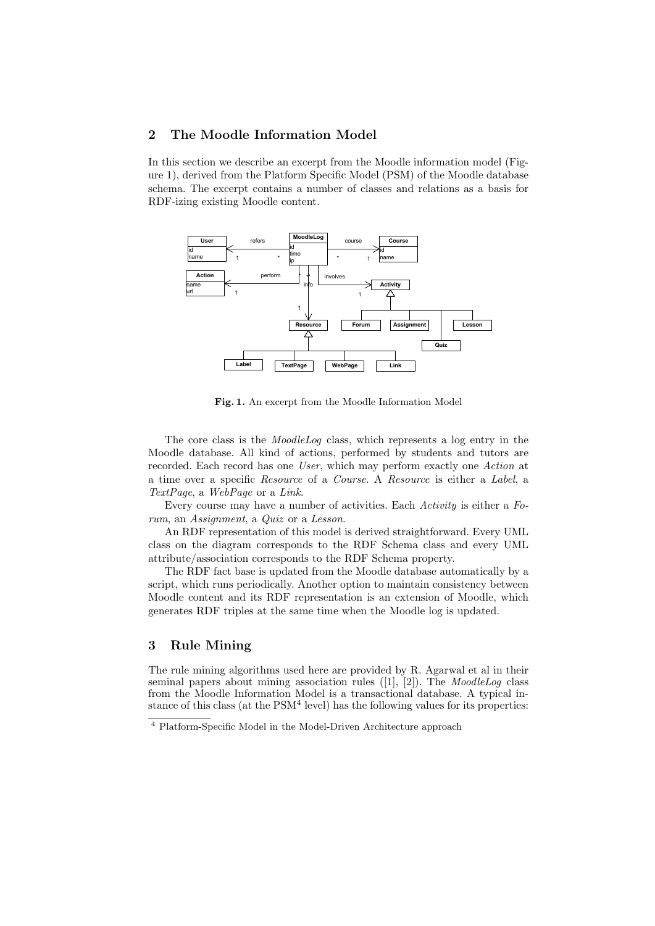# 2 The Moodle Information Model

In this section we describe an excerpt from the Moodle information model (Figure 1), derived from the Platform Specific Model (PSM) of the Moodle database schema. The excerpt contains a number of classes and relations as a basis for RDF-izing existing Moodle content.



Fig. 1. An excerpt from the Moodle Information Model

The core class is the MoodleLog class, which represents a log entry in the Moodle database. All kind of actions, performed by students and tutors are recorded. Each record has one User, which may perform exactly one Action at a time over a specific Resource of a Course. A Resource is either a Label, a TextPage, a WebPage or a Link.

Every course may have a number of activities. Each Activity is either a Forum, an Assignment, a Quiz or a Lesson.

An RDF representation of this model is derived straightforward. Every UML class on the diagram corresponds to the RDF Schema class and every UML attribute/association corresponds to the RDF Schema property.

The RDF fact base is updated from the Moodle database automatically by a script, which runs periodically. Another option to maintain consistency between Moodle content and its RDF representation is an extension of Moodle, which generates RDF triples at the same time when the Moodle log is updated.

## 3 Rule Mining

The rule mining algorithms used here are provided by R. Agarwal et al in their seminal papers about mining association rules  $([1], [2])$ . The *MoodleLog* class from the Moodle Information Model is a transactional database. A typical instance of this class (at the  $PSM<sup>4</sup>$  level) has the following values for its properties:

<sup>4</sup> Platform-Specific Model in the Model-Driven Architecture approach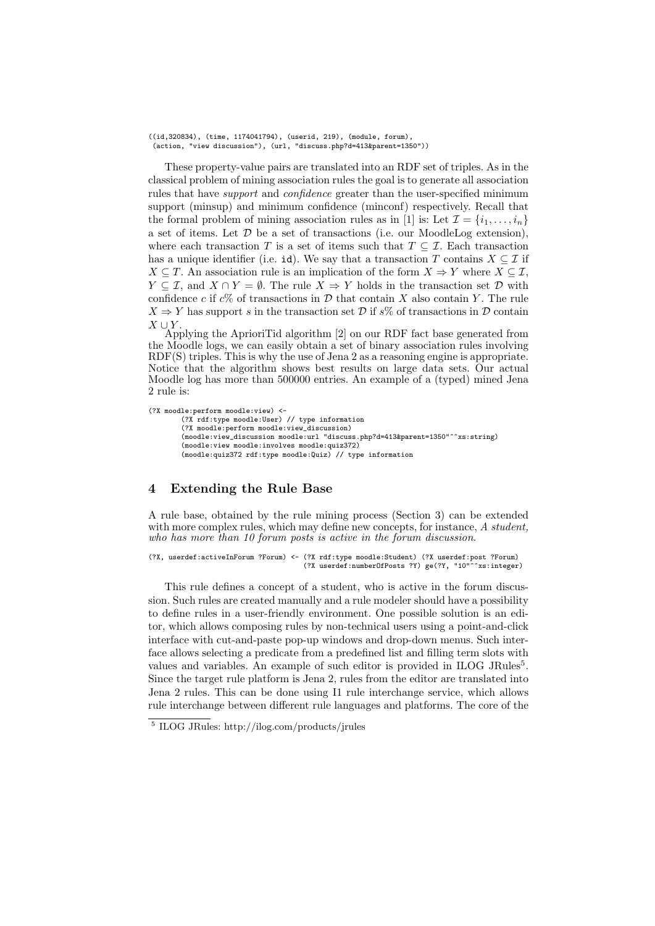((id,320834), (time, 1174041794), (userid, 219), (module, forum), (action, "view discussion"), (url, "discuss.php?d=413&parent=1350"))

These property-value pairs are translated into an RDF set of triples. As in the classical problem of mining association rules the goal is to generate all association rules that have support and confidence greater than the user-specified minimum support (minsup) and minimum confidence (minconf) respectively. Recall that the formal problem of mining association rules as in [1] is: Let  $\mathcal{I} = \{i_1, \ldots, i_n\}$ a set of items. Let  $D$  be a set of transactions (i.e. our MoodleLog extension), where each transaction T is a set of items such that  $T \subseteq \mathcal{I}$ . Each transaction has a unique identifier (i.e. id). We say that a transaction T contains  $X \subseteq \mathcal{I}$  if  $X \subseteq T$ . An association rule is an implication of the form  $X \Rightarrow Y$  where  $X \subseteq \mathcal{I}$ ,  $Y \subseteq \mathcal{I}$ , and  $X \cap Y = \emptyset$ . The rule  $X \Rightarrow Y$  holds in the transaction set  $\mathcal{D}$  with confidence c if  $c\%$  of transactions in D that contain X also contain Y. The rule  $X \Rightarrow Y$  has support s in the transaction set D if s% of transactions in D contain  $X \cup Y$ .

Applying the AprioriTid algorithm [2] on our RDF fact base generated from the Moodle logs, we can easily obtain a set of binary association rules involving RDF(S) triples. This is why the use of Jena 2 as a reasoning engine is appropriate. Notice that the algorithm shows best results on large data sets. Our actual Moodle log has more than 500000 entries. An example of a (typed) mined Jena 2 rule is:

```
(?X moodle:perform moodle:view) <-
(?X rdf:type moodle:User) // type information
(?X moodle:perform moodle:view_discussion)
(moodle:view_discussion moodle:url "discuss.php?d=413&parent=1350"^^xs:string)
(moodle:view moodle:involves moodle:quiz372)
(moodle:quiz372 rdf:type moodle:Quiz) // type information
```
## 4 Extending the Rule Base

A rule base, obtained by the rule mining process (Section 3) can be extended with more complex rules, which may define new concepts, for instance, A student, who has more than 10 forum posts is active in the forum discussion.

(?X, userdef:activeInForum ?Forum) <- (?X rdf:type moodle:Student) (?X userdef:post ?Forum) (?X userdef:numberOfPosts ?Y) ge(?Y, "10"^^xs:integer)

This rule defines a concept of a student, who is active in the forum discussion. Such rules are created manually and a rule modeler should have a possibility to define rules in a user-friendly environment. One possible solution is an editor, which allows composing rules by non-technical users using a point-and-click interface with cut-and-paste pop-up windows and drop-down menus. Such interface allows selecting a predicate from a predefined list and filling term slots with values and variables. An example of such editor is provided in ILOG JRules<sup>5</sup>. Since the target rule platform is Jena 2, rules from the editor are translated into Jena 2 rules. This can be done using I1 rule interchange service, which allows rule interchange between different rule languages and platforms. The core of the

<sup>5</sup> ILOG JRules: http://ilog.com/products/jrules